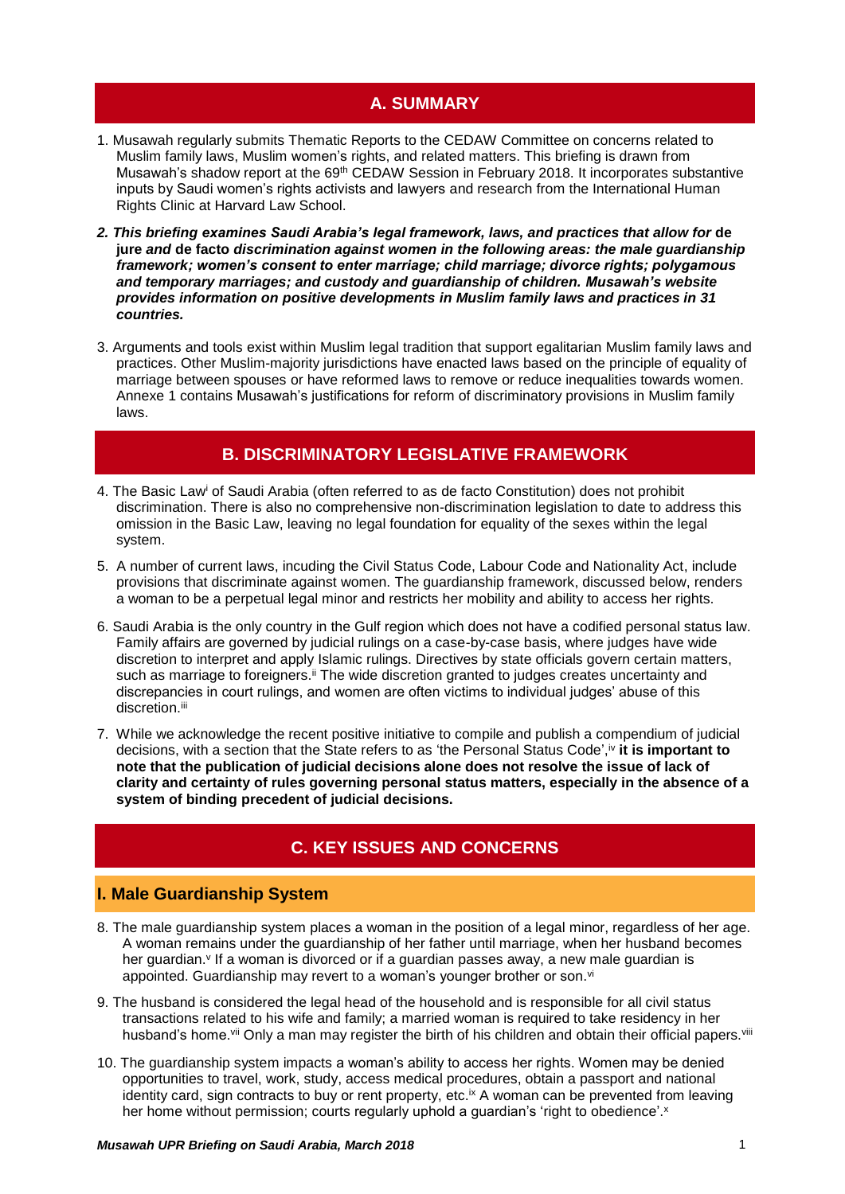# **A. SUMMARY**

- 1. Musawah regularly submits Thematic Reports to the CEDAW Committee on concerns related to Muslim family laws, Muslim women's rights, and related matters. This briefing is drawn from Musawah's shadow report at the 69<sup>th</sup> CEDAW Session in February 2018. It incorporates substantive inputs by Saudi women's rights activists and lawyers and research from the International Human Rights Clinic at Harvard Law School.
- *2. This briefing examines Saudi Arabia's legal framework, laws, and practices that allow for* **de jure** *and* **de facto** *discrimination against women in the following areas: the male guardianship framework; women's consent to enter marriage; child marriage; divorce rights; polygamous and temporary marriages; and custody and guardianship of children. Musawah's website provides information on positive developments in Muslim family laws and practices in 31 countries.*
- 3. Arguments and tools exist within Muslim legal tradition that support egalitarian Muslim family laws and practices. Other Muslim-majority jurisdictions have enacted laws based on the principle of equality of marriage between spouses or have reformed laws to remove or reduce inequalities towards women. Annexe 1 contains Musawah's justifications for reform of discriminatory provisions in Muslim family laws.

# **B. DISCRIMINATORY LEGISLATIVE FRAMEWORK**

- 4. The Basic Law<sup>i</sup> of Saudi Arabia (often referred to as de facto Constitution) does not prohibit discrimination. There is also no comprehensive non-discrimination legislation to date to address this omission in the Basic Law, leaving no legal foundation for equality of the sexes within the legal system.
- 5. A number of current laws, incuding the Civil Status Code, Labour Code and Nationality Act, include provisions that discriminate against women. The guardianship framework, discussed below, renders a woman to be a perpetual legal minor and restricts her mobility and ability to access her rights.
- 6. Saudi Arabia is the only country in the Gulf region which does not have a codified personal status law. Family affairs are governed by judicial rulings on a case-by-case basis, where judges have wide discretion to interpret and apply Islamic rulings. Directives by state officials govern certain matters, such as marriage to foreigners.<sup>ii</sup> The wide discretion granted to judges creates uncertainty and discrepancies in court rulings, and women are often victims to individual judges' abuse of this discretion.<sup>iii</sup>
- 7. While we acknowledge the recent positive initiative to compile and publish a compendium of judicial decisions, with a section that the State refers to as 'the Personal Status Code',iv it is important to **note that the publication of judicial decisions alone does not resolve the issue of lack of clarity and certainty of rules governing personal status matters, especially in the absence of a system of binding precedent of judicial decisions.**

# **C. KEY ISSUES AND CONCERNS**

## **I. Male Guardianship System**

- 8. The male guardianship system places a woman in the position of a legal minor, regardless of her age. A woman remains under the guardianship of her father until marriage, when her husband becomes her guardian.<sup>v</sup> If a woman is divorced or if a guardian passes away, a new male guardian is appointed. Guardianship may revert to a woman's younger brother or son.<sup>vi</sup>
- 9. The husband is considered the legal head of the household and is responsible for all civil status transactions related to his wife and family; a married woman is required to take residency in her husband's home.vii Only a man may register the birth of his children and obtain their official papers. Vili
- 10. The guardianship system impacts a woman's ability to access her rights. Women may be denied opportunities to travel, work, study, access medical procedures, obtain a passport and national identity card, sign contracts to buy or rent property, etc.<sup>ix</sup> A woman can be prevented from leaving her home without permission; courts regularly uphold a guardian's 'right to obedience'.<sup>x</sup>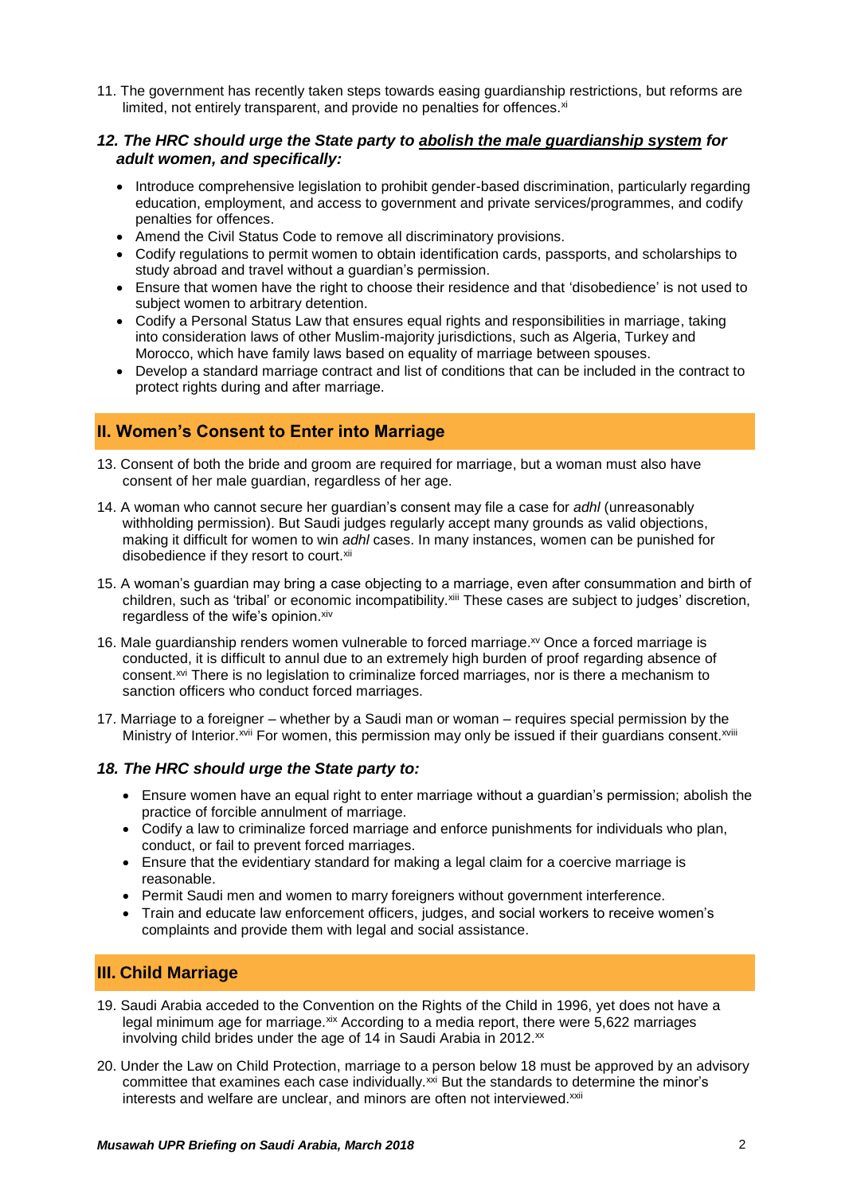11. The government has recently taken steps towards easing guardianship restrictions, but reforms are limited, not entirely transparent, and provide no penalties for offences.<sup>xi</sup>

### *12. The HRC should urge the State party to abolish the male guardianship system for adult women, and specifically:*

- Introduce comprehensive legislation to prohibit gender-based discrimination, particularly regarding education, employment, and access to government and private services/programmes, and codify penalties for offences.
- Amend the Civil Status Code to remove all discriminatory provisions.
- Codify regulations to permit women to obtain identification cards, passports, and scholarships to study abroad and travel without a guardian's permission.
- Ensure that women have the right to choose their residence and that 'disobedience' is not used to subject women to arbitrary detention.
- Codify a Personal Status Law that ensures equal rights and responsibilities in marriage, taking into consideration laws of other Muslim-majority jurisdictions, such as Algeria, Turkey and Morocco, which have family laws based on equality of marriage between spouses.
- Develop a standard marriage contract and list of conditions that can be included in the contract to protect rights during and after marriage.

## **II. Women's Consent to Enter into Marriage**

- 13. Consent of both the bride and groom are required for marriage, but a woman must also have consent of her male guardian, regardless of her age.
- 14. A woman who cannot secure her guardian's consent may file a case for *adhl* (unreasonably withholding permission). But Saudi judges regularly accept many grounds as valid objections, making it difficult for women to win *adhl* cases. In many instances, women can be punished for disobedience if they resort to court.<sup>xii</sup>
- 15. A woman's guardian may bring a case objecting to a marriage, even after consummation and birth of children, such as 'tribal' or economic incompatibility.<sup>xiii</sup> These cases are subject to judges' discretion, regardless of the wife's opinion. xiv
- 16. Male guardianship renders women vulnerable to forced marriage.<sup>xv</sup> Once a forced marriage is conducted, it is difficult to annul due to an extremely high burden of proof regarding absence of consent.<sup>xvi</sup> There is no legislation to criminalize forced marriages, nor is there a mechanism to sanction officers who conduct forced marriages.
- 17. Marriage to a foreigner whether by a Saudi man or woman requires special permission by the Ministry of Interior.<sup>Xvii</sup> For women, this permission may only be issued if their guardians consent.<sup>Xviii</sup>

#### *18. The HRC should urge the State party to:*

- Ensure women have an equal right to enter marriage without a guardian's permission; abolish the practice of forcible annulment of marriage.
- Codify a law to criminalize forced marriage and enforce punishments for individuals who plan, conduct, or fail to prevent forced marriages.
- Ensure that the evidentiary standard for making a legal claim for a coercive marriage is reasonable.
- Permit Saudi men and women to marry foreigners without government interference.
- Train and educate law enforcement officers, judges, and social workers to receive women's complaints and provide them with legal and social assistance.

# **III. Child Marriage**

- 19. Saudi Arabia acceded to the Convention on the Rights of the Child in 1996, yet does not have a legal minimum age for marriage. *xix* According to a media report, there were 5,622 marriages involving child brides under the age of 14 in Saudi Arabia in 2012.<sup>xx</sup>
- 20. Under the Law on Child Protection, marriage to a person below 18 must be approved by an advisory committee that examines each case individually.<sup>xxi</sup> But the standards to determine the minor's interests and welfare are unclear, and minors are often not interviewed.<sup>xxii</sup>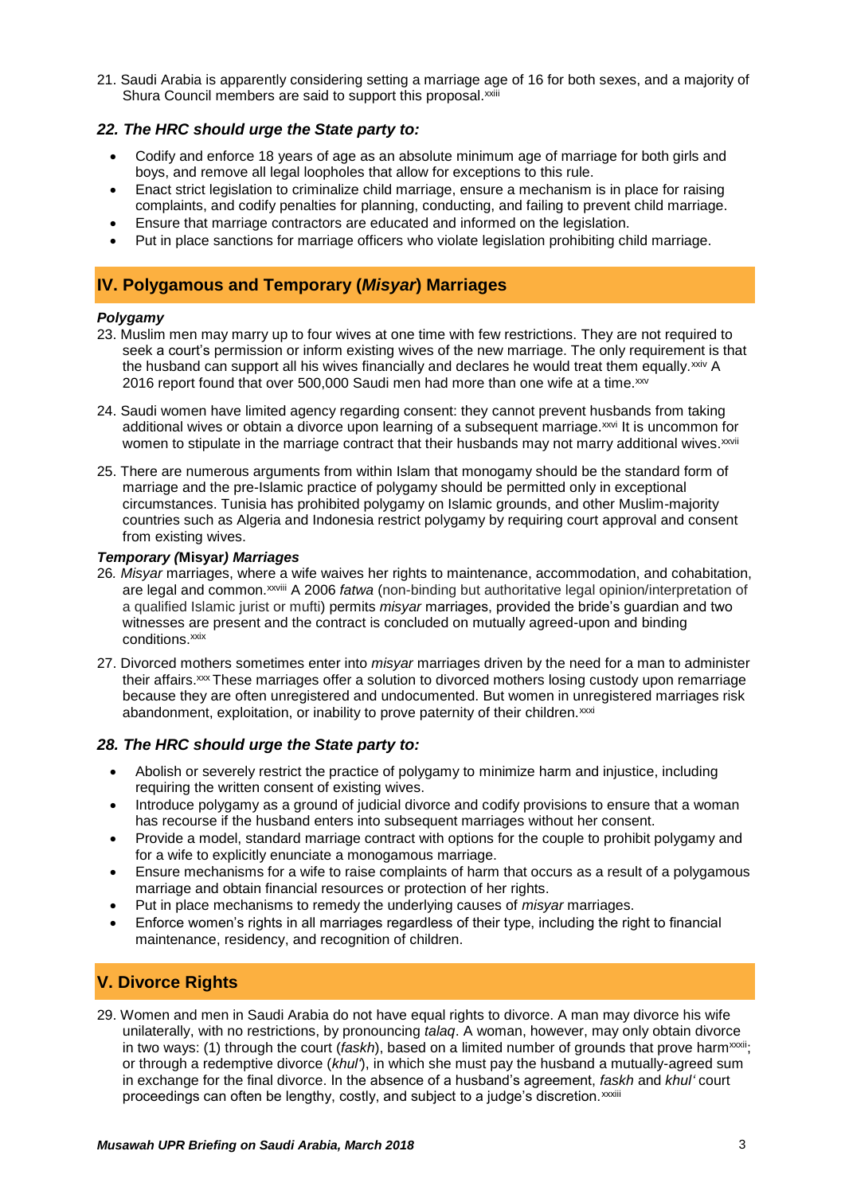21. Saudi Arabia is apparently considering setting a marriage age of 16 for both sexes, and a majority of Shura Council members are said to support this proposal.<sup>xxiii</sup>

## *22. The HRC should urge the State party to:*

- Codify and enforce 18 years of age as an absolute minimum age of marriage for both girls and boys, and remove all legal loopholes that allow for exceptions to this rule.
- Enact strict legislation to criminalize child marriage, ensure a mechanism is in place for raising complaints, and codify penalties for planning, conducting, and failing to prevent child marriage.
- Ensure that marriage contractors are educated and informed on the legislation.
- Put in place sanctions for marriage officers who violate legislation prohibiting child marriage.

## **IV. Polygamous and Temporary (***Misyar***) Marriages**

#### *Polygamy*

- 23. Muslim men may marry up to four wives at one time with few restrictions. They are not required to seek a court's permission or inform existing wives of the new marriage. The only requirement is that the husband can support all his wives financially and declares he would treat them equally. $xiv A$ 2016 report found that over 500,000 Saudi men had more than one wife at a time.xxv
- 24. Saudi women have limited agency regarding consent: they cannot prevent husbands from taking additional wives or obtain a divorce upon learning of a subsequent marriage. XXVI It is uncommon for women to stipulate in the marriage contract that their husbands may not marry additional wives. $^{xxvi}$
- 25. There are numerous arguments from within Islam that monogamy should be the standard form of marriage and the pre-Islamic practice of polygamy should be permitted only in exceptional circumstances. Tunisia has prohibited polygamy on Islamic grounds, and other Muslim-majority countries such as Algeria and Indonesia restrict polygamy by requiring court approval and consent from existing wives.

#### *Temporary (***Misyar***) Marriages*

- 26*. Misyar* marriages, where a wife waives her rights to maintenance, accommodation, and cohabitation, are legal and common.xxviii A 2006 *fatwa* (non-binding but authoritative legal opinion/interpretation of a qualified Islamic jurist or mufti) permits *misyar* marriages, provided the bride's guardian and two witnesses are present and the contract is concluded on mutually agreed-upon and binding conditions.<sup>xxix</sup>
- 27. Divorced mothers sometimes enter into *misyar* marriages driven by the need for a man to administer their affairs.<sup>xxx</sup> These marriages offer a solution to divorced mothers losing custody upon remarriage because they are often unregistered and undocumented. But women in unregistered marriages risk abandonment, exploitation, or inability to prove paternity of their children.<sup>xxxi</sup>

#### *28. The HRC should urge the State party to:*

- Abolish or severely restrict the practice of polygamy to minimize harm and injustice, including requiring the written consent of existing wives.
- Introduce polygamy as a ground of judicial divorce and codify provisions to ensure that a woman has recourse if the husband enters into subsequent marriages without her consent.
- Provide a model, standard marriage contract with options for the couple to prohibit polygamy and for a wife to explicitly enunciate a monogamous marriage.
- Ensure mechanisms for a wife to raise complaints of harm that occurs as a result of a polygamous marriage and obtain financial resources or protection of her rights.
- Put in place mechanisms to remedy the underlying causes of *misyar* marriages.
- Enforce women's rights in all marriages regardless of their type, including the right to financial maintenance, residency, and recognition of children.

## **V. Divorce Rights**

29. Women and men in Saudi Arabia do not have equal rights to divorce. A man may divorce his wife unilaterally, with no restrictions, by pronouncing *talaq*. A woman, however, may only obtain divorce in two ways: (1) through the court (*faskh*), based on a limited number of grounds that prove harm<sup>xxxii</sup>; or through a redemptive divorce (*khul'*), in which she must pay the husband a mutually-agreed sum in exchange for the final divorce. In the absence of a husband's agreement, *faskh* and *khul'* court proceedings can often be lengthy, costly, and subject to a judge's discretion. xxxiii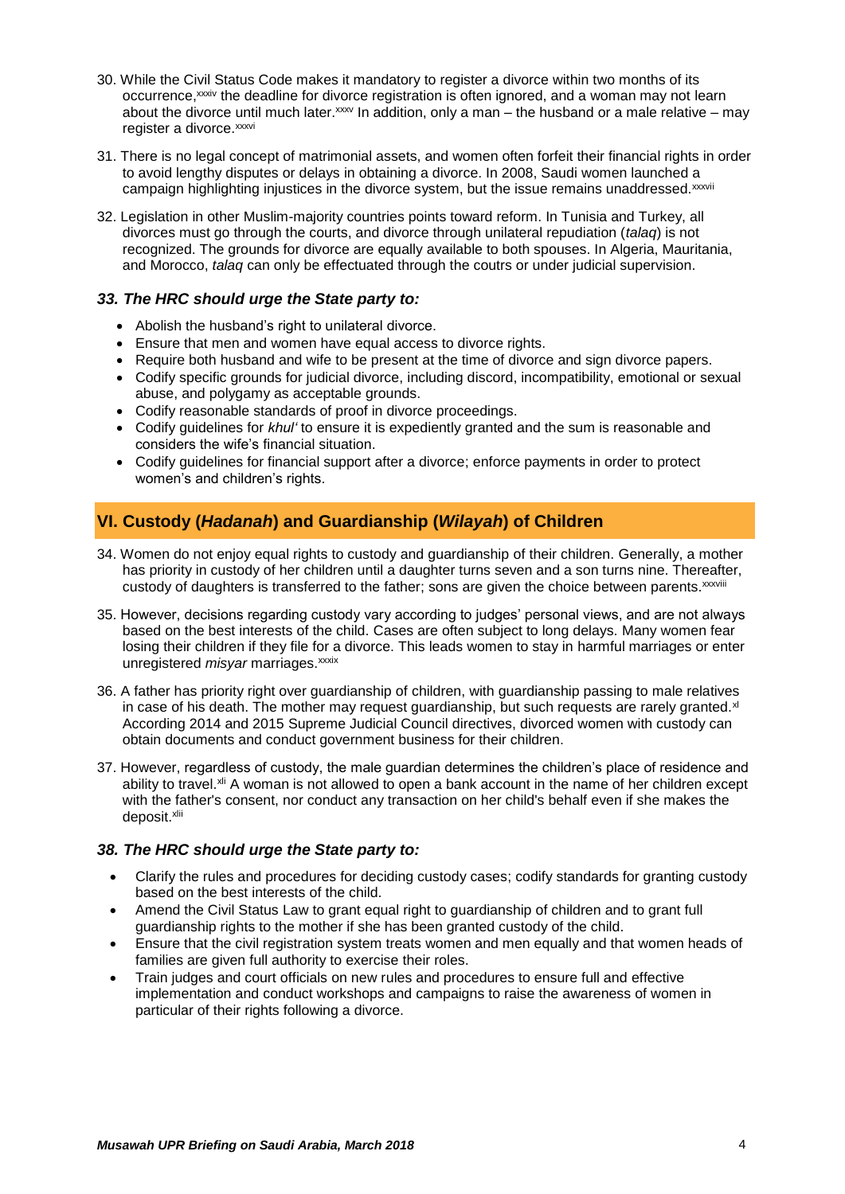- 30. While the Civil Status Code makes it mandatory to register a divorce within two months of its occurrence, xxxiv the deadline for divorce registration is often ignored, and a woman may not learn about the divorce until much later. $xxy$  In addition, only a man – the husband or a male relative – may register a divorce.<sup>xxxvi</sup>
- 31. There is no legal concept of matrimonial assets, and women often forfeit their financial rights in order to avoid lengthy disputes or delays in obtaining a divorce. In 2008, Saudi women launched a campaign highlighting injustices in the divorce system, but the issue remains unaddressed.xxxvii
- 32. Legislation in other Muslim-majority countries points toward reform. In Tunisia and Turkey, all divorces must go through the courts, and divorce through unilateral repudiation (*talaq*) is not recognized. The grounds for divorce are equally available to both spouses. In Algeria, Mauritania, and Morocco, *talaq* can only be effectuated through the coutrs or under judicial supervision.

## *33. The HRC should urge the State party to:*

- Abolish the husband's right to unilateral divorce.
- Ensure that men and women have equal access to divorce rights.
- Require both husband and wife to be present at the time of divorce and sign divorce papers.
- Codify specific grounds for judicial divorce, including discord, incompatibility, emotional or sexual abuse, and polygamy as acceptable grounds.
- Codify reasonable standards of proof in divorce proceedings.
- Codify guidelines for *khul'* to ensure it is expediently granted and the sum is reasonable and considers the wife's financial situation.
- Codify guidelines for financial support after a divorce; enforce payments in order to protect women's and children's rights.

# **VI. Custody (***Hadanah***) and Guardianship (***Wilayah***) of Children**

- 34. Women do not enjoy equal rights to custody and guardianship of their children. Generally, a mother has priority in custody of her children until a daughter turns seven and a son turns nine. Thereafter, custody of daughters is transferred to the father; sons are given the choice between parents.<sup>xxxviii</sup>
- 35. However, decisions regarding custody vary according to judges' personal views, and are not always based on the best interests of the child. Cases are often subject to long delays. Many women fear losing their children if they file for a divorce. This leads women to stay in harmful marriages or enter unregistered *misyar* marriages.<sup>xxxix</sup>
- 36. A father has priority right over guardianship of children, with guardianship passing to male relatives in case of his death. The mother may request quardianship, but such requests are rarely granted. $x$ According 2014 and 2015 Supreme Judicial Council directives, divorced women with custody can obtain documents and conduct government business for their children.
- 37. However, regardless of custody, the male guardian determines the children's place of residence and ability to travel.<sup>xli</sup> A woman is not allowed to open a bank account in the name of her children except with the father's consent, nor conduct any transaction on her child's behalf even if she makes the deposit.xlii

## *38. The HRC should urge the State party to:*

- Clarify the rules and procedures for deciding custody cases; codify standards for granting custody based on the best interests of the child.
- Amend the Civil Status Law to grant equal right to guardianship of children and to grant full guardianship rights to the mother if she has been granted custody of the child.
- Ensure that the civil registration system treats women and men equally and that women heads of families are given full authority to exercise their roles.
- Train judges and court officials on new rules and procedures to ensure full and effective implementation and conduct workshops and campaigns to raise the awareness of women in particular of their rights following a divorce.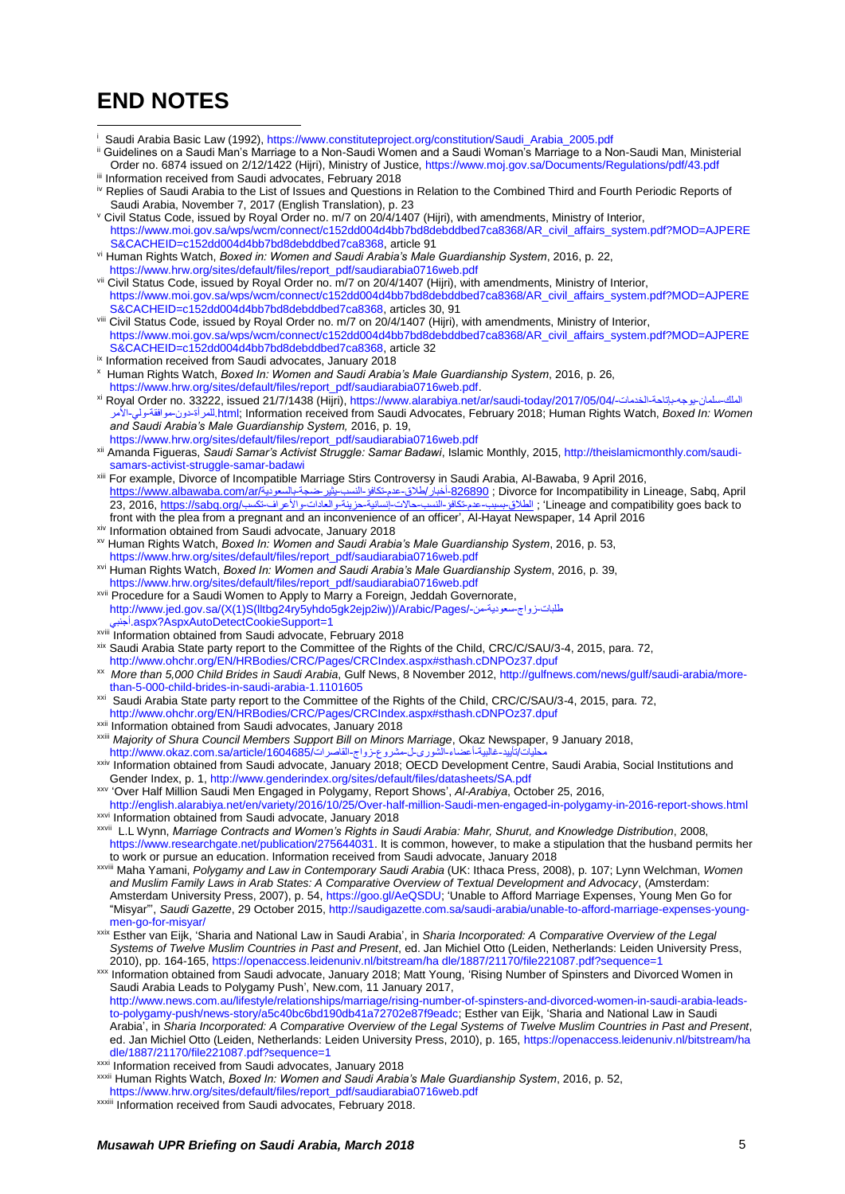# **END NOTES**

 $\overline{a}$ 

- i Saudi Arabia Basic Law (1992)[, https://www.constituteproject.org/constitution/Saudi\\_Arabia\\_2005.pdf](https://www.constituteproject.org/constitution/Saudi_Arabia_2005.pdf)
- Guidelines on a Saudi Man's Marriage to a Non-Saudi Women and a Saudi Woman's Marriage to a Non-Saudi Man, Ministerial Order no. 6874 issued on 2/12/1422 (Hijri), Ministry of Justice[, https://www.moj.gov.sa/Documents/Regulations/pdf/43.pdf](https://www.moj.gov.sa/Documents/Regulations/pdf/43.pdf) iii Information received from Saudi advocates, February 2018
- iv Replies of Saudi Arabia to the List of Issues and Questions in Relation to the Combined Third and Fourth Periodic Reports of Saudi Arabia, November 7, 2017 (English Translation), p. 23
- <sup>v</sup> Civil Status Code, issued by Royal Order no. m/7 on 20/4/1407 (Hijri), with amendments, Ministry of Interior, [https://www.moi.gov.sa/wps/wcm/connect/c152dd004d4bb7bd8debddbed7ca8368/AR\\_civil\\_affairs\\_system.pdf?MOD=AJPERE](https://www.moi.gov.sa/wps/wcm/connect/c152dd004d4bb7bd8debddbed7ca8368/AR_civil_affairs_system.pdf?MOD=AJPERES&CACHEID=c152dd004d4bb7bd8debddbed7ca8368) [S&CACHEID=c152dd004d4bb7bd8debddbed7ca8368,](https://www.moi.gov.sa/wps/wcm/connect/c152dd004d4bb7bd8debddbed7ca8368/AR_civil_affairs_system.pdf?MOD=AJPERES&CACHEID=c152dd004d4bb7bd8debddbed7ca8368) article 91
- vi Human Rights Watch, *Boxed in: Women and Saudi Arabia's Male Guardianship System*, 2016, p. 22, [https://www.hrw.org/sites/default/files/report\\_pdf/saudiarabia0716web.pdf](https://www.hrw.org/sites/default/files/report_pdf/saudiarabia0716web.pdf)
- vii Civil Status Code, issued by Royal Order no. m/7 on 20/4/1407 (Hijri), with amendments, Ministry of Interior, [https://www.moi.gov.sa/wps/wcm/connect/c152dd004d4bb7bd8debddbed7ca8368/AR\\_civil\\_affairs\\_system.pdf?MOD=AJPERE](https://www.moi.gov.sa/wps/wcm/connect/c152dd004d4bb7bd8debddbed7ca8368/AR_civil_affairs_system.pdf?MOD=AJPERES&CACHEID=c152dd004d4bb7bd8debddbed7ca8368) [S&CACHEID=c152dd004d4bb7bd8debddbed7ca8368,](https://www.moi.gov.sa/wps/wcm/connect/c152dd004d4bb7bd8debddbed7ca8368/AR_civil_affairs_system.pdf?MOD=AJPERES&CACHEID=c152dd004d4bb7bd8debddbed7ca8368) articles 30, 91
- viii Civil Status Code, issued by Royal Order no. m/7 on 20/4/1407 (Hijri), with amendments, Ministry of Interior, [https://www.moi.gov.sa/wps/wcm/connect/c152dd004d4bb7bd8debddbed7ca8368/AR\\_civil\\_affairs\\_system.pdf?MOD=AJPERE](https://www.moi.gov.sa/wps/wcm/connect/c152dd004d4bb7bd8debddbed7ca8368/AR_civil_affairs_system.pdf?MOD=AJPERES&CACHEID=c152dd004d4bb7bd8debddbed7ca8368) [S&CACHEID=c152dd004d4bb7bd8debddbed7ca8368,](https://www.moi.gov.sa/wps/wcm/connect/c152dd004d4bb7bd8debddbed7ca8368/AR_civil_affairs_system.pdf?MOD=AJPERES&CACHEID=c152dd004d4bb7bd8debddbed7ca8368) article 32
- ix Information received from Saudi advocates, January 2018
- x Human Rights Watch, *Boxed In: Women and Saudi Arabia's Male Guardianship System*, 2016, p. 26, [https://www.hrw.org/sites/default/files/report\\_pdf/saudiarabia0716web.pdf.](https://www.hrw.org/sites/default/files/report_pdf/saudiarabia0716web.pdf)
- xi Royal Order no. 33222, issued 21/7/1438 (Hijri)[, https://www.alarabiya.net/ar/saudi-today/2017/05/04/-الخدمات-بإتاحة-يوجه-سلمان-الملك](https://www.alarabiya.net/ar/saudi-today/2017/05/04/%D8%A7%D9%84%D9%85%D9%84%D9%83-%D8%B3%D9%84%D9%85%D8%A7%D9%86-%D9%8A%D9%88%D8%AC%D9%87-%D8%A8%D8%A5%D8%AA%D8%A7%D8%AD%D8%A9-%D8%A7%D9%84%D8%AE%D8%AF%D9%85%D8%A7%D8%AA-%D9%84%D9%84%D9%85%D8%B1%D8%A3%D8%A9-%D8%AF%D9%88%D9%86-%D9%85%D9%88%D8%A7%D9%81%D9%82%D8%A9-%D9%88%D9%84%D9%8A-%D8%A7%D9%84%D8%A3%D9%85%D8%B1.html) [األمر-ولي-موافقة-دون-للمرأة.html;](https://www.alarabiya.net/ar/saudi-today/2017/05/04/%D8%A7%D9%84%D9%85%D9%84%D9%83-%D8%B3%D9%84%D9%85%D8%A7%D9%86-%D9%8A%D9%88%D8%AC%D9%87-%D8%A8%D8%A5%D8%AA%D8%A7%D8%AD%D8%A9-%D8%A7%D9%84%D8%AE%D8%AF%D9%85%D8%A7%D8%AA-%D9%84%D9%84%D9%85%D8%B1%D8%A3%D8%A9-%D8%AF%D9%88%D9%86-%D9%85%D9%88%D8%A7%D9%81%D9%82%D8%A9-%D9%88%D9%84%D9%8A-%D8%A7%D9%84%D8%A3%D9%85%D8%B1.html) Information received from Saudi Advocates, February 2018; Human Rights Watch, *Boxed In: Women and Saudi Arabia's Male Guardianship System,* 2016, p. 19, [https://www.hrw.org/sites/default/files/report\\_pdf/saudiarabia0716web.pdf](https://www.hrw.org/sites/default/files/report_pdf/saudiarabia0716web.pdf)
- xii Amanda Figueras, *Saudi Samar's Activist Struggle: Samar Badawi*, Islamic Monthly, 2015[, http://theislamicmonthly.com/saudi](http://theislamicmonthly.com/saudi-samars-activist-struggle-samar-badawi)[samars-activist-struggle-samar-badawi](http://theislamicmonthly.com/saudi-samars-activist-struggle-samar-badawi)
- xiii For example, Divorce of Incompatible Marriage Stirs Controversy in Saudi Arabia, Al-Bawaba, 9 April 2016, [https://www.albawaba.com/ar/بالسعودية-ضجة-يثير-النسب-تكافؤ-عدم-طالق/أخبار-826890](https://www.albawaba.com/ar/%D8%A3%D8%AE%D8%A8%D8%A7%D8%B1/%D8%B7%D9%84%D8%A7%D9%82-%D8%B9%D8%AF%D9%85-%D8%AA%D9%83%D8%A7%D9%81%D8%A4-%D8%A7%D9%84%D9%86%D8%B3%D8%A8-%D9%8A%D8%AB%D9%8A%D8%B1-%D8%B6%D8%AC%D8%A9-%D8%A8%D8%A7%D9%84%D8%B3%D8%B9%D9%88%D8%AF%D9%8A%D8%A9-826890) [;](https://www.albawaba.com/ar/%D8%A3%D8%AE%D8%A8%D8%A7%D8%B1/%D8%B7%D9%84%D8%A7%D9%82-%D8%B9%D8%AF%D9%85-%D8%AA%D9%83%D8%A7%D9%81%D8%A4-%D8%A7%D9%84%D9%86%D8%B3%D8%A8-%D9%8A%D8%AB%D9%8A%D8%B1-%D8%B6%D8%AC%D8%A9-%D8%A8%D8%A7%D9%84%D8%B3%D8%B9%D9%88%D8%AF%D9%8A%D8%A9-826890) Divorce for Incompatibility in Lineage, Sabq, April theage and compatibility goes back to ; ا<u>لطلاق-بسبب-عدم-تكافؤ-النسب-حالات-إنساني</u>ة-حزينة-والعادات-والأعراف-تكسب/abbach, <u>https[:](https://www.albawaba.com/ar/%D8%A3%D8%AE%D8%A8%D8%A7%D8%B1/%D8%B7%D9%84%D8%A7%D9%82-%D8%B9%D8%AF%D9%85-%D8%AA%D9%83%D8%A7%D9%81%D8%A4-%D8%A7%D9%84%D9%86%D8%B3%D8%A8-%D9%8A%D8%AB%D9%8A%D8%B1-%D8%B6%D8%AC%D8%A9-%D8%A8%D8%A7%D9%84%D8%B3%D8%B9%D9%88%D8%AF%D9%8A%D8%A9-826890)[//](https://sabq.org/%D8%A7%D9%84%D8%B7%D9%84%D8%A7%D9%82-%D8%A8%D8%B3%D8%A8%D8%A8-%D8%B9%D8%AF%D9%85-%D8%AA%D9%83%D8%A7%D9%81%D8%A4-%D8%A7%D9%84%D9%86%D8%B3%D8%A8-%D8%AD%D8%A7%D9%84%D8%A7%D8%AA-%D8%A5%D9%86%D8%B3%D8%A7%D9%86%D9%8A%D8%A9-%D8%AD%D8%B2%D9%8A%D9%86%D8%A9-%D9%88%D8%A7%D9%84%D8%B9%D8%A7%D8%AF%D8%A7%D8%AA-%D9%88%D8%A7%D9%84%D8%A3%D8%B9%D8%B1%D8%A7%D9%81-%D8%AA%D9%83%D8%B3%D8%A8)sabq.org/</u> front with the plea from a pregnant and an inconvenience of an officer', Al-Hayat Newspaper, 14 April 2016
- xiv Information obtained from Saudi advocate, January 2018
- xv Human Rights Watch, *Boxed In: Women and Saudi Arabia's Male Guardianship System*, 2016, p. 53, [https://www.hrw.org/sites/default/files/report\\_pdf/saudiarabia0716web.pdf](https://www.hrw.org/sites/default/files/report_pdf/saudiarabia0716web.pdf)
- xvi Human Rights Watch, *Boxed In: Women and Saudi Arabia's Male Guardianship System*, 2016, p. 39,
- [https://www.hrw.org/sites/default/files/report\\_pdf/saudiarabia0716web.pdf](https://www.hrw.org/sites/default/files/report_pdf/saudiarabia0716web.pdf) xvii Procedure for a Saudi Women to Apply to Marry a Foreign, Jeddah Governorate, http://www.jed.gov.sa/(X(1)S(lltbg24ry5yhdo5gk2ejp2iw))/Arabic/Pages/-منابات زواج-سعودية-من-/
- [أجنبي.aspx?AspxAutoDetectCookieSupport=1](http://www.jed.gov.sa/(X(1)S(lltbg24ry5yhdo5gk2ejp2iw))/Arabic/Pages/%D8%B7%D9%84%D8%A8%D8%A7%D8%AA-%D8%B2%D9%88%D8%A7%D8%AC-%D8%B3%D8%B9%D9%88%D8%AF%D9%8A%D8%A9-%D9%85%D9%86-%D8%A3%D8%AC%D9%86%D8%A8%D9%8A.aspx?AspxAutoDetectCookieSupport=1) xviii Information obtained from Saudi advocate, February 2018
- xix Saudi Arabia State party report to the Committee of the Rights of the Child, CRC/C/SAU/3-4, 2015, para. 72,
- <http://www.ohchr.org/EN/HRBodies/CRC/Pages/CRCIndex.aspx#sthash.cDNPOz37.dpuf>
- xx *More than 5,000 Child Brides in Saudi Arabia*, Gulf News, 8 November 2012, [http://gulfnews.com/news/gulf/saudi-arabia/more](http://gulfnews.com/news/gulf/saudi-arabia/more-than-5-000-child-brides-in-saudi-arabia-1.1101605)[than-5-000-child-brides-in-saudi-arabia-1.1101605](http://gulfnews.com/news/gulf/saudi-arabia/more-than-5-000-child-brides-in-saudi-arabia-1.1101605)
- <sup>xxi</sup> Saudi Arabia State party report to the Committee of the Rights of the Child, CRC/C/SAU/3-4, 2015, para. 72, <http://www.ohchr.org/EN/HRBodies/CRC/Pages/CRCIndex.aspx#sthash.cDNPOz37.dpuf>
- xxii Information obtained from Saudi advocates, January 2018
- xxiii *Majority of Shura Council Members Support Bill on Minors Marriage*, Okaz Newspaper, 9 January 2018, محليات/تأييد-غالبية-أعضاء-الشورى-ل-مشروع-زواج-القاصرات/1604685-http://www.okaz.com.sa/article/160468
- xxiv Information obtained from Saudi advocate, January 2018; OECD Development Centre, Saudi Arabia, Social Institutions and Gender Index, p. 1,<http://www.genderindex.org/sites/default/files/datasheets/SA.pdf>
- xxv 'Over Half Million Saudi Men Engaged in Polygamy, Report Shows', *Al-Arabiya*, October 25, 2016,
- <http://english.alarabiya.net/en/variety/2016/10/25/Over-half-million-Saudi-men-engaged-in-polygamy-in-2016-report-shows.html> xxvi Information obtained from Saudi advocate, January 2018
- xxvii L.L Wynn, *Marriage Contracts and Women's Rights in Saudi Arabia: Mahr, Shurut, and Knowledge Distribution*, 2008, [https://www.researchgate.net/publication/275644031.](https://www.researchgate.net/publication/275644031) It is common, however, to make a stipulation that the husband permits her to work or pursue an education. Information received from Saudi advocate, January 2018
- xxviii Maha Yamani, *Polygamy and Law in Contemporary Saudi Arabia* (UK: Ithaca Press, 2008), p. 107; Lynn Welchman, *Women and Muslim Family Laws in Arab States: A Comparative Overview of Textual Development and Advocacy*, (Amsterdam: Amsterdam University Press, 2007), p. 54, [https://goo.gl/AeQSDU;](https://goo.gl/AeQSDU) 'Unable to Afford Marriage Expenses, Young Men Go for "Misyar"', *Saudi Gazette*, 29 October 2015[, http://saudigazette.com.sa/saudi-arabia/unable-to-afford-marriage-expenses-young](http://saudigazette.com.sa/saudi-arabia/unable-to-afford-marriage-expenses-young-men-go-for-misyar/)[men-go-for-misyar/](http://saudigazette.com.sa/saudi-arabia/unable-to-afford-marriage-expenses-young-men-go-for-misyar/)
- xxix Esther van Eijk, 'Sharia and National Law in Saudi Arabia', in *Sharia Incorporated: A Comparative Overview of the Legal Systems of Twelve Muslim Countries in Past and Present*, ed. Jan Michiel Otto (Leiden, Netherlands: Leiden University Press, 2010), pp. 164-165[, https://openaccess.leidenuniv.nl/bitstream/ha dle/1887/21170/file221087.pdf?sequence=1](https://openaccess.leidenuniv.nl/bitstream/ha%20dle/1887/21170/file221087.pdf?sequence=1)
- xxx Information obtained from Saudi advocate, January 2018; Matt Young, 'Rising Number of Spinsters and Divorced Women in Saudi Arabia Leads to Polygamy Push', New.com, 11 January 2017, [http://www.news.com.au/lifestyle/relationships/marriage/rising-number-of-spinsters-and-divorced-women-in-saudi-arabia-leads](http://www.news.com.au/lifestyle/relationships/marriage/rising-number-of-spinsters-and-divorced-women-in-saudi-arabia-leads-to-polygamy-push/news-story/a5c40bc6bd190db41a72702e87f9eadc)[to-polygamy-push/news-story/a5c40bc6bd190db41a72702e87f9eadc;](http://www.news.com.au/lifestyle/relationships/marriage/rising-number-of-spinsters-and-divorced-women-in-saudi-arabia-leads-to-polygamy-push/news-story/a5c40bc6bd190db41a72702e87f9eadc) Esther van Eijk, 'Sharia and National Law in Saudi Arabia', in *Sharia Incorporated: A Comparative Overview of the Legal Systems of Twelve Muslim Countries in Past and Present*, ed. Jan Michiel Otto (Leiden, Netherlands: Leiden University Press, 2010), p. 165, [https://openaccess.leidenuniv.nl/bitstream/ha](https://openaccess.leidenuniv.nl/bitstream/ha%20dle/1887/21170/file221087.pdf?sequence=1)  [dle/1887/21170/file221087.pdf?sequence=1](https://openaccess.leidenuniv.nl/bitstream/ha%20dle/1887/21170/file221087.pdf?sequence=1)
- xxxi Information received from Saudi advocates, January 2018
- xxxii Human Rights Watch, *Boxed In: Women and Saudi Arabia's Male Guardianship System*, 2016, p. 52,
- [https://www.hrw.org/sites/default/files/report\\_pdf/saudiarabia0716web.pdf](https://www.hrw.org/sites/default/files/report_pdf/saudiarabia0716web.pdf)
- xxxiii Information received from Saudi advocates, February 2018.